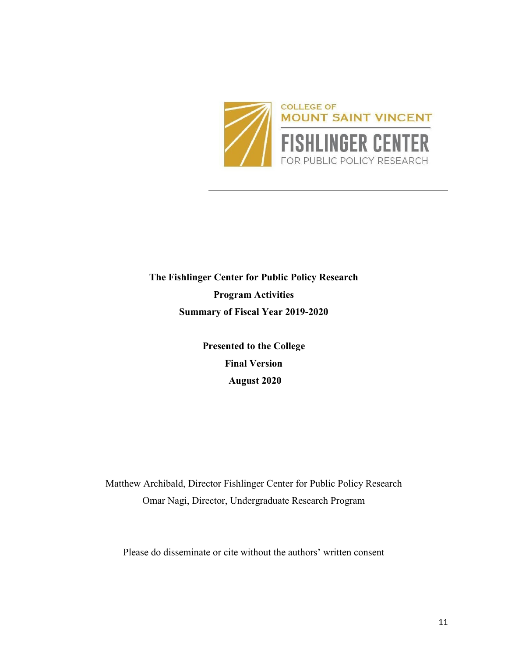

**The Fishlinger Center for Public Policy Research Program Activities Summary of Fiscal Year 2019-2020**

> **Presented to the College Final Version August 2020**

Matthew Archibald, Director Fishlinger Center for Public Policy Research Omar Nagi, Director, Undergraduate Research Program

Please do disseminate or cite without the authors' written consent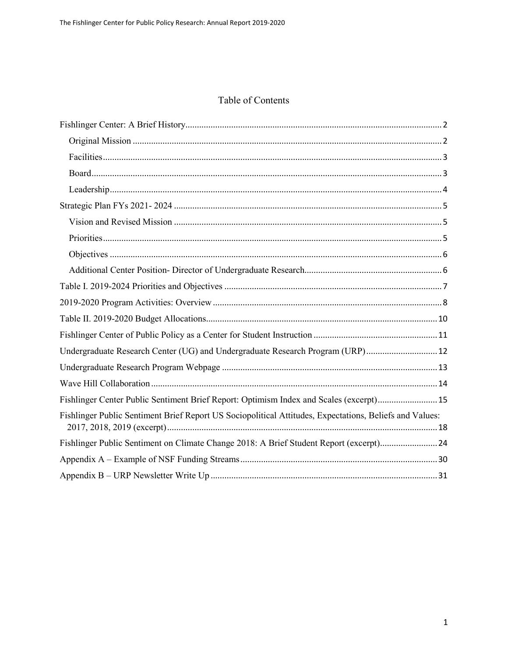# Table of Contents

| Undergraduate Research Center (UG) and Undergraduate Research Program (URP) 12                          |
|---------------------------------------------------------------------------------------------------------|
|                                                                                                         |
|                                                                                                         |
| Fishlinger Center Public Sentiment Brief Report: Optimism Index and Scales (excerpt) 15                 |
| Fishlinger Public Sentiment Brief Report US Sociopolitical Attitudes, Expectations, Beliefs and Values: |
| Fishlinger Public Sentiment on Climate Change 2018: A Brief Student Report (excerpt)24                  |
|                                                                                                         |
|                                                                                                         |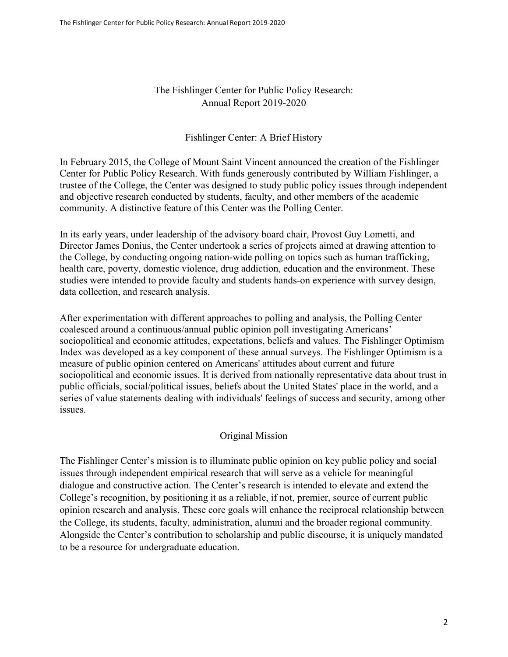## The Fishlinger Center for Public Policy Research: Annual Report 2019-2020

### Fishlinger Center: A Brief History

<span id="page-2-0"></span>In February 2015, the College of Mount Saint Vincent announced the creation of the Fishlinger Center for Public Policy Research. With funds generously contributed by William Fishlinger, a trustee of the College, the Center was designed to study public policy issues through independent and objective research conducted by students, faculty, and other members of the academic community. A distinctive feature of this Center was the Polling Center.

In its early years, under leadership of the advisory board chair, Provost Guy Lometti, and Director James Donius, the Center undertook a series of projects aimed at drawing attention to the College, by conducting ongoing nation-wide polling on topics such as human trafficking, health care, poverty, domestic violence, drug addiction, education and the environment. These studies were intended to provide faculty and students hands-on experience with survey design, data collection, and research analysis.

After experimentation with different approaches to polling and analysis, the Polling Center coalesced around a continuous/annual public opinion poll investigating Americans' sociopolitical and economic attitudes, expectations, beliefs and values. The Fishlinger Optimism Index was developed as a key component of these annual surveys. The Fishlinger Optimism is a measure of public opinion centered on Americans' attitudes about current and future sociopolitical and economic issues. It is derived from nationally representative data about trust in public officials, social/political issues, beliefs about the United States' place in the world, and a series of value statements dealing with individuals' feelings of success and security, among other issues.

# Original Mission

<span id="page-2-1"></span>The Fishlinger Center's mission is to illuminate public opinion on key public policy and social issues through independent empirical research that will serve as a vehicle for meaningful dialogue and constructive action. The Center's research is intended to elevate and extend the College's recognition, by positioning it as a reliable, if not, premier, source of current public opinion research and analysis. These core goals will enhance the reciprocal relationship between the College, its students, faculty, administration, alumni and the broader regional community. Alongside the Center's contribution to scholarship and public discourse, it is uniquely mandated to be a resource for undergraduate education.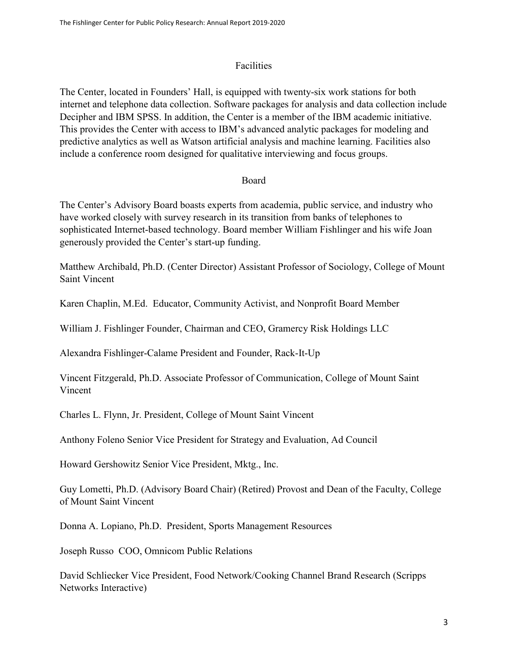### Facilities

<span id="page-3-0"></span>The Center, located in Founders' Hall, is equipped with twenty-six work stations for both internet and telephone data collection. Software packages for analysis and data collection include Decipher and IBM SPSS. In addition, the Center is a member of the IBM academic initiative. This provides the Center with access to IBM's advanced analytic packages for modeling and predictive analytics as well as Watson artificial analysis and machine learning. Facilities also include a conference room designed for qualitative interviewing and focus groups.

#### Board

<span id="page-3-1"></span>The Center's Advisory Board boasts experts from academia, public service, and industry who have worked closely with survey research in its transition from banks of telephones to sophisticated Internet-based technology. Board member William Fishlinger and his wife Joan generously provided the Center's start-up funding.

Matthew Archibald, Ph.D. (Center Director) Assistant Professor of Sociology, College of Mount Saint Vincent

Karen Chaplin, M.Ed. Educator, Community Activist, and Nonprofit Board Member

William J. Fishlinger Founder, Chairman and CEO, Gramercy Risk Holdings LLC

Alexandra Fishlinger-Calame President and Founder, Rack-It-Up

Vincent Fitzgerald, Ph.D. Associate Professor of Communication, College of Mount Saint Vincent

Charles L. Flynn, Jr. President, College of Mount Saint Vincent

Anthony Foleno Senior Vice President for Strategy and Evaluation, Ad Council

Howard Gershowitz Senior Vice President, Mktg., Inc.

Guy Lometti, Ph.D. (Advisory Board Chair) (Retired) Provost and Dean of the Faculty, College of Mount Saint Vincent

Donna A. Lopiano, Ph.D. President, Sports Management Resources

Joseph Russo COO, Omnicom Public Relations

David Schliecker Vice President, Food Network/Cooking Channel Brand Research (Scripps Networks Interactive)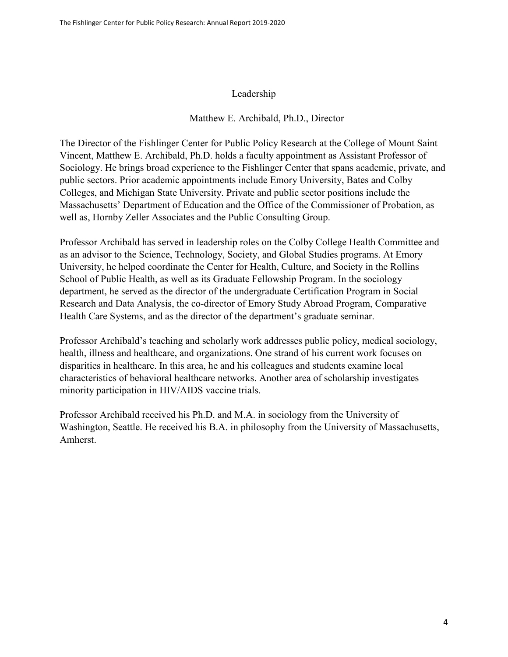### Leadership

# Matthew E. Archibald, Ph.D., Director

<span id="page-4-0"></span>The Director of the Fishlinger Center for Public Policy Research at the College of Mount Saint Vincent, Matthew E. Archibald, Ph.D. holds a faculty appointment as Assistant Professor of Sociology. He brings broad experience to the Fishlinger Center that spans academic, private, and public sectors. Prior academic appointments include Emory University, Bates and Colby Colleges, and Michigan State University. Private and public sector positions include the Massachusetts' Department of Education and the Office of the Commissioner of Probation, as well as, Hornby Zeller Associates and the Public Consulting Group.

Professor Archibald has served in leadership roles on the Colby College Health Committee and as an advisor to the Science, Technology, Society, and Global Studies programs. At Emory University, he helped coordinate the Center for Health, Culture, and Society in the Rollins School of Public Health, as well as its Graduate Fellowship Program. In the sociology department, he served as the director of the undergraduate Certification Program in Social Research and Data Analysis, the co-director of Emory Study Abroad Program, Comparative Health Care Systems, and as the director of the department's graduate seminar.

Professor Archibald's teaching and scholarly work addresses public policy, medical sociology, health, illness and healthcare, and organizations. One strand of his current work focuses on disparities in healthcare. In this area, he and his colleagues and students examine local characteristics of behavioral healthcare networks. Another area of scholarship investigates minority participation in HIV/AIDS vaccine trials.

Professor Archibald received his Ph.D. and M.A. in sociology from the University of Washington, Seattle. He received his B.A. in philosophy from the University of Massachusetts, Amherst.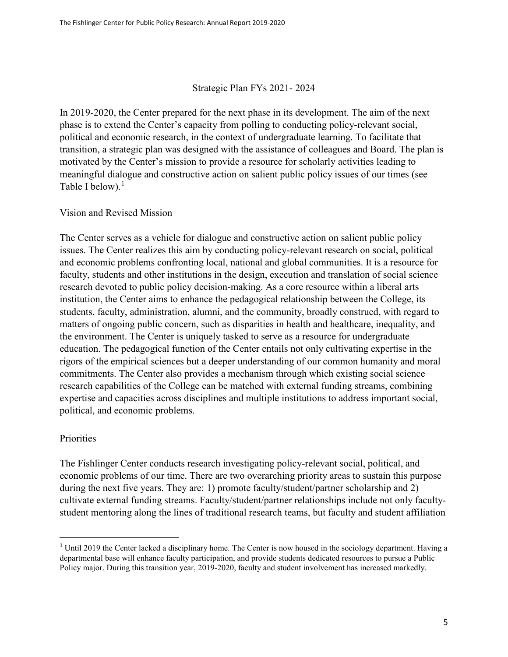### Strategic Plan FYs 2021- 2024

<span id="page-5-0"></span>In 2019-2020, the Center prepared for the next phase in its development. The aim of the next phase is to extend the Center's capacity from polling to conducting policy-relevant social, political and economic research, in the context of undergraduate learning. To facilitate that transition, a strategic plan was designed with the assistance of colleagues and Board. The plan is motivated by the Center's mission to provide a resource for scholarly activities leading to meaningful dialogue and constructive action on salient public policy issues of our times (see Table I below).<sup>[1](#page-5-3)</sup>

### <span id="page-5-1"></span>Vision and Revised Mission

<span id="page-5-2"></span>The Center serves as a vehicle for dialogue and constructive action on salient public policy issues. The Center realizes this aim by conducting policy-relevant research on social, political and economic problems confronting local, national and global communities. It is a resource for faculty, students and other institutions in the design, execution and translation of social science research devoted to public policy decision-making. As a core resource within a liberal arts institution, the Center aims to enhance the pedagogical relationship between the College, its students, faculty, administration, alumni, and the community, broadly construed, with regard to matters of ongoing public concern, such as disparities in health and healthcare, inequality, and the environment. The Center is uniquely tasked to serve as a resource for undergraduate education. The pedagogical function of the Center entails not only cultivating expertise in the rigors of the empirical sciences but a deeper understanding of our common humanity and moral commitments. The Center also provides a mechanism through which existing social science research capabilities of the College can be matched with external funding streams, combining expertise and capacities across disciplines and multiple institutions to address important social, political, and economic problems.

### **Priorities**

The Fishlinger Center conducts research investigating policy-relevant social, political, and economic problems of our time. There are two overarching priority areas to sustain this purpose during the next five years. They are: 1) promote faculty/student/partner scholarship and 2) cultivate external funding streams. Faculty/student/partner relationships include not only facultystudent mentoring along the lines of traditional research teams, but faculty and student affiliation

<span id="page-5-3"></span><sup>&</sup>lt;sup>1</sup> Until 2019 the Center lacked a disciplinary home. The Center is now housed in the sociology department. Having a departmental base will enhance faculty participation, and provide students dedicated resources to pursue a Public Policy major. During this transition year, 2019-2020, faculty and student involvement has increased markedly.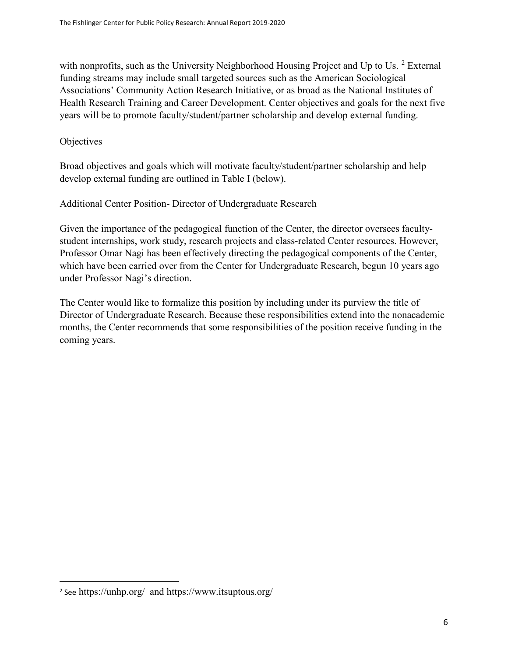with nonprofits, such as the University Neighborhood Housing Project and Up to Us. <sup>[2](#page-6-2)</sup> External funding streams may include small targeted sources such as the American Sociological Associations' Community Action Research Initiative, or as broad as the National Institutes of Health Research Training and Career Development. Center objectives and goals for the next five years will be to promote faculty/student/partner scholarship and develop external funding.

#### <span id="page-6-0"></span>**Objectives**

Broad objectives and goals which will motivate faculty/student/partner scholarship and help develop external funding are outlined in Table I (below).

<span id="page-6-1"></span>Additional Center Position- Director of Undergraduate Research

Given the importance of the pedagogical function of the Center, the director oversees facultystudent internships, work study, research projects and class-related Center resources. However, Professor Omar Nagi has been effectively directing the pedagogical components of the Center, which have been carried over from the Center for Undergraduate Research, begun 10 years ago under Professor Nagi's direction.

The Center would like to formalize this position by including under its purview the title of Director of Undergraduate Research. Because these responsibilities extend into the nonacademic months, the Center recommends that some responsibilities of the position receive funding in the coming years.

<span id="page-6-2"></span> <sup>2</sup> See https://unhp.org/ and https://www.itsuptous.org/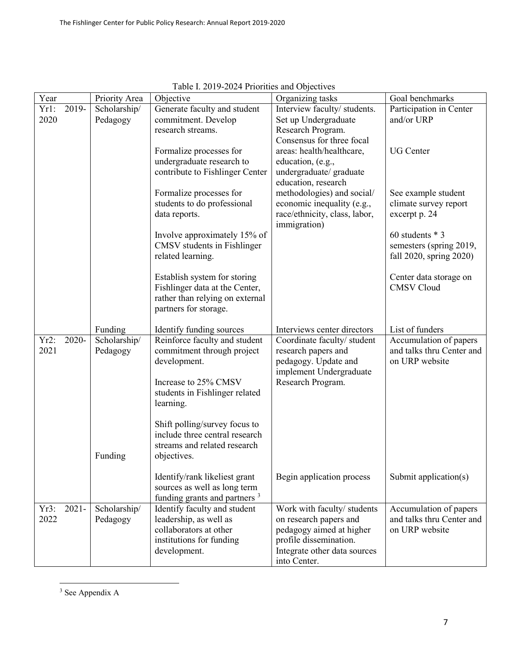<span id="page-7-0"></span>

|         |          |               | $14010$ 1. $2017$ $202$ 1.1.1011(100 and $00$  cotives |                                                |                           |
|---------|----------|---------------|--------------------------------------------------------|------------------------------------------------|---------------------------|
| Year    |          | Priority Area | Objective                                              | Organizing tasks                               | Goal benchmarks           |
| $Yr1$ : | 2019-    | Scholarship/  | Generate faculty and student                           | Interview faculty/ students.                   | Participation in Center   |
| 2020    |          | Pedagogy      | commitment. Develop                                    | Set up Undergraduate                           | and/or URP                |
|         |          |               | research streams.                                      | Research Program.                              |                           |
|         |          |               |                                                        | Consensus for three focal                      |                           |
|         |          |               | Formalize processes for                                | areas: health/healthcare,                      | <b>UG</b> Center          |
|         |          |               | undergraduate research to                              | education, (e.g.,                              |                           |
|         |          |               | contribute to Fishlinger Center                        | undergraduate/ graduate<br>education, research |                           |
|         |          |               | Formalize processes for                                | methodologies) and social/                     | See example student       |
|         |          |               | students to do professional                            | economic inequality (e.g.,                     | climate survey report     |
|         |          |               | data reports.                                          | race/ethnicity, class, labor,<br>immigration)  | excerpt p. 24             |
|         |          |               | Involve approximately 15% of                           |                                                | 60 students * 3           |
|         |          |               | CMSV students in Fishlinger                            |                                                | semesters (spring 2019,   |
|         |          |               | related learning.                                      |                                                | fall 2020, spring 2020)   |
|         |          |               | Establish system for storing                           |                                                | Center data storage on    |
|         |          |               | Fishlinger data at the Center,                         |                                                | <b>CMSV</b> Cloud         |
|         |          |               | rather than relying on external                        |                                                |                           |
|         |          |               | partners for storage.                                  |                                                |                           |
|         |          | Funding       | Identify funding sources                               | Interviews center directors                    | List of funders           |
| Yr2:    | 2020-    | Scholarship/  | Reinforce faculty and student                          | Coordinate faculty/ student                    | Accumulation of papers    |
| 2021    |          | Pedagogy      | commitment through project                             | research papers and                            | and talks thru Center and |
|         |          |               | development.                                           | pedagogy. Update and                           | on URP website            |
|         |          |               |                                                        | implement Undergraduate                        |                           |
|         |          |               | Increase to 25% CMSV                                   | Research Program.                              |                           |
|         |          |               | students in Fishlinger related                         |                                                |                           |
|         |          |               | learning.                                              |                                                |                           |
|         |          |               | Shift polling/survey focus to                          |                                                |                           |
|         |          |               | include three central research                         |                                                |                           |
|         |          |               | streams and related research                           |                                                |                           |
|         |          | Funding       | objectives.                                            |                                                |                           |
|         |          |               | Identify/rank likeliest grant                          | Begin application process                      | Submit application(s)     |
|         |          |               | sources as well as long term                           |                                                |                           |
|         |          |               | funding grants and partners <sup>3</sup>               |                                                |                           |
| Yr3:    | $2021 -$ | Scholarship/  | Identify faculty and student                           | Work with faculty/ students                    | Accumulation of papers    |
| 2022    |          | Pedagogy      | leadership, as well as                                 | on research papers and                         | and talks thru Center and |
|         |          |               | collaborators at other                                 | pedagogy aimed at higher                       | on URP website            |
|         |          |               | institutions for funding                               | profile dissemination.                         |                           |
|         |          |               | development.                                           | Integrate other data sources                   |                           |
|         |          |               |                                                        | into Center.                                   |                           |

l

<span id="page-7-1"></span><sup>&</sup>lt;sup>3</sup> See Appendix A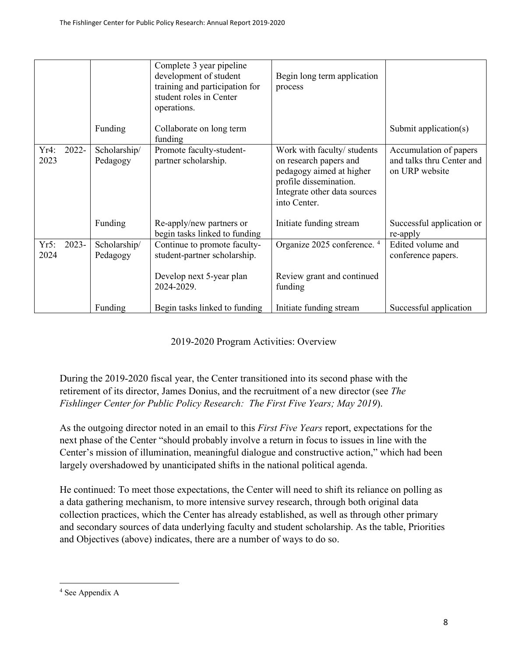|                 |          |                          | Complete 3 year pipeline<br>development of student<br>training and participation for<br>student roles in Center<br>operations. | Begin long term application<br>process                                                                                                                      |                                                                       |
|-----------------|----------|--------------------------|--------------------------------------------------------------------------------------------------------------------------------|-------------------------------------------------------------------------------------------------------------------------------------------------------------|-----------------------------------------------------------------------|
|                 |          | Funding                  | Collaborate on long term<br>funding                                                                                            |                                                                                                                                                             | Submit application $(s)$                                              |
| Yr4:<br>2023    | $2022 -$ | Scholarship/<br>Pedagogy | Promote faculty-student-<br>partner scholarship.                                                                               | Work with faculty/ students<br>on research papers and<br>pedagogy aimed at higher<br>profile dissemination.<br>Integrate other data sources<br>into Center. | Accumulation of papers<br>and talks thru Center and<br>on URP website |
|                 |          | Funding                  | Re-apply/new partners or<br>begin tasks linked to funding                                                                      | Initiate funding stream                                                                                                                                     | Successful application or<br>re-apply                                 |
| $Yr5$ :<br>2024 | $2023 -$ | Scholarship/<br>Pedagogy | Continue to promote faculty-<br>student-partner scholarship.                                                                   | Organize 2025 conference. <sup>4</sup>                                                                                                                      | Edited volume and<br>conference papers.                               |
|                 |          |                          | Develop next 5-year plan<br>2024-2029.                                                                                         | Review grant and continued<br>funding                                                                                                                       |                                                                       |
|                 |          | Funding                  | Begin tasks linked to funding                                                                                                  | Initiate funding stream                                                                                                                                     | Successful application                                                |

2019-2020 Program Activities: Overview

<span id="page-8-0"></span>During the 2019-2020 fiscal year, the Center transitioned into its second phase with the retirement of its director, James Donius, and the recruitment of a new director (see *The Fishlinger Center for Public Policy Research: The First Five Years; May 2019*).

As the outgoing director noted in an email to this *First Five Years* report, expectations for the next phase of the Center "should probably involve a return in focus to issues in line with the Center's mission of illumination, meaningful dialogue and constructive action," which had been largely overshadowed by unanticipated shifts in the national political agenda.

He continued: To meet those expectations, the Center will need to shift its reliance on polling as a data gathering mechanism, to more intensive survey research, through both original data collection practices, which the Center has already established, as well as through other primary and secondary sources of data underlying faculty and student scholarship. As the table, Priorities and Objectives (above) indicates, there are a number of ways to do so.

l

<span id="page-8-1"></span><sup>4</sup> See Appendix A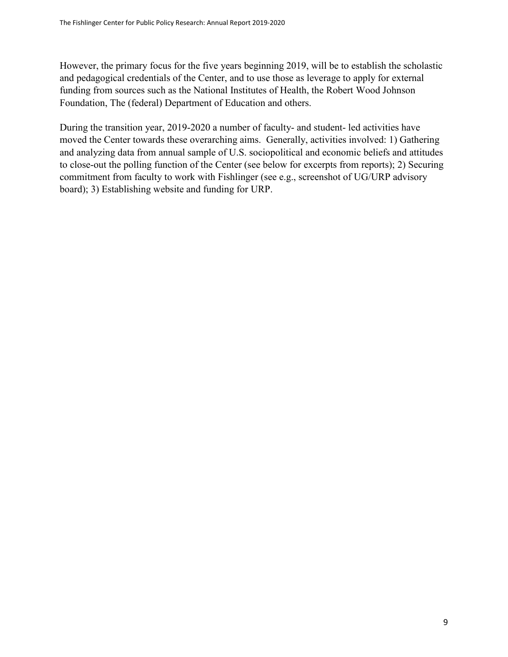However, the primary focus for the five years beginning 2019, will be to establish the scholastic and pedagogical credentials of the Center, and to use those as leverage to apply for external funding from sources such as the National Institutes of Health, the Robert Wood Johnson Foundation, The (federal) Department of Education and others.

During the transition year, 2019-2020 a number of faculty- and student- led activities have moved the Center towards these overarching aims. Generally, activities involved: 1) Gathering and analyzing data from annual sample of U.S. sociopolitical and economic beliefs and attitudes to close-out the polling function of the Center (see below for excerpts from reports); 2) Securing commitment from faculty to work with Fishlinger (see e.g., screenshot of UG/URP advisory board); 3) Establishing website and funding for URP.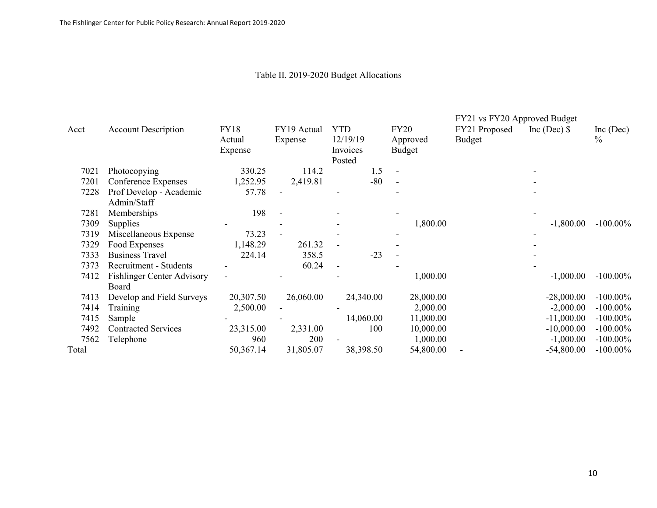### Table II. 2019-2020 Budget Allocations

<span id="page-10-0"></span>

|       |                                            |                                  |                        |                                              |                                   | FY21 vs FY20 Approved Budget |               |                            |
|-------|--------------------------------------------|----------------------------------|------------------------|----------------------------------------------|-----------------------------------|------------------------------|---------------|----------------------------|
| Acct  | <b>Account Description</b>                 | <b>FY18</b><br>Actual<br>Expense | FY19 Actual<br>Expense | <b>YTD</b><br>12/19/19<br>Invoices<br>Posted | <b>FY20</b><br>Approved<br>Budget | FY21 Proposed<br>Budget      | Inc (Dec) $\$ | Inc (Dec)<br>$\frac{0}{0}$ |
| 7021  | Photocopying                               | 330.25                           | 114.2                  | 1.5                                          | $\overline{\phantom{a}}$          |                              |               |                            |
| 7201  | Conference Expenses                        | 1,252.95                         | 2,419.81               | $-80$                                        |                                   |                              |               |                            |
| 7228  | Prof Develop - Academic<br>Admin/Staff     | 57.78                            |                        |                                              |                                   |                              |               |                            |
| 7281  | Memberships                                | 198                              |                        |                                              |                                   |                              |               |                            |
| 7309  | Supplies                                   |                                  |                        |                                              | 1,800.00                          |                              | $-1,800.00$   | $-100.00\%$                |
| 7319  | Miscellaneous Expense                      | 73.23                            |                        |                                              |                                   |                              |               |                            |
| 7329  | Food Expenses                              | 1,148.29                         | 261.32                 |                                              |                                   |                              |               |                            |
| 7333  | <b>Business Travel</b>                     | 224.14                           | 358.5                  | $-23$                                        |                                   |                              |               |                            |
| 7373  | Recruitment - Students                     |                                  | 60.24                  |                                              |                                   |                              |               |                            |
| 7412  | <b>Fishlinger Center Advisory</b><br>Board |                                  |                        |                                              | 1,000.00                          |                              | $-1,000.00$   | $-100.00\%$                |
| 7413  | Develop and Field Surveys                  | 20,307.50                        | 26,060.00              | 24,340.00                                    | 28,000.00                         |                              | $-28,000.00$  | $-100.00\%$                |
| 7414  | Training                                   | 2,500.00                         |                        |                                              | 2,000.00                          |                              | $-2,000.00$   | $-100.00\%$                |
| 7415  | Sample                                     |                                  |                        | 14,060.00                                    | 11,000.00                         |                              | $-11,000.00$  | $-100.00\%$                |
| 7492  | <b>Contracted Services</b>                 | 23,315.00                        | 2,331.00               | 100                                          | 10,000.00                         |                              | $-10,000.00$  | $-100.00\%$                |
| 7562  | Telephone                                  | 960                              | 200                    |                                              | 1,000.00                          |                              | $-1,000.00$   | $-100.00\%$                |
| Total |                                            | 50,367.14                        | 31,805.07              | 38,398.50                                    | 54,800.00                         |                              | $-54,800.00$  | $-100.00\%$                |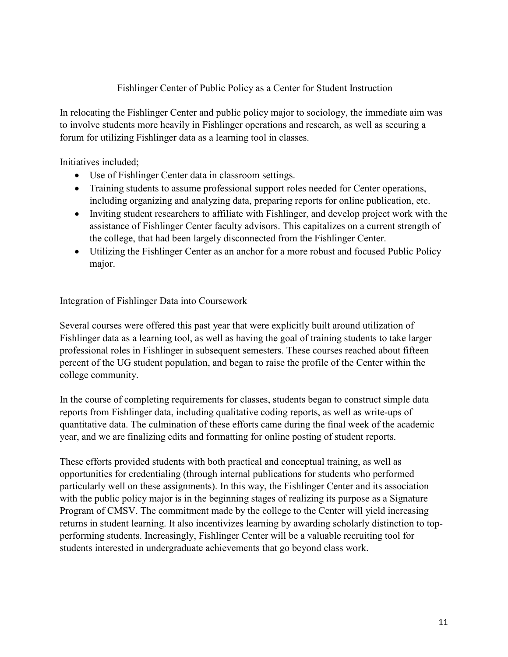### <span id="page-11-0"></span>Fishlinger Center of Public Policy as a Center for Student Instruction

In relocating the Fishlinger Center and public policy major to sociology, the immediate aim was to involve students more heavily in Fishlinger operations and research, as well as securing a forum for utilizing Fishlinger data as a learning tool in classes.

Initiatives included;

- Use of Fishlinger Center data in classroom settings.
- Training students to assume professional support roles needed for Center operations, including organizing and analyzing data, preparing reports for online publication, etc.
- Inviting student researchers to affiliate with Fishlinger, and develop project work with the assistance of Fishlinger Center faculty advisors. This capitalizes on a current strength of the college, that had been largely disconnected from the Fishlinger Center.
- Utilizing the Fishlinger Center as an anchor for a more robust and focused Public Policy major.

Integration of Fishlinger Data into Coursework

Several courses were offered this past year that were explicitly built around utilization of Fishlinger data as a learning tool, as well as having the goal of training students to take larger professional roles in Fishlinger in subsequent semesters. These courses reached about fifteen percent of the UG student population, and began to raise the profile of the Center within the college community.

In the course of completing requirements for classes, students began to construct simple data reports from Fishlinger data, including qualitative coding reports, as well as write-ups of quantitative data. The culmination of these efforts came during the final week of the academic year, and we are finalizing edits and formatting for online posting of student reports.

These efforts provided students with both practical and conceptual training, as well as opportunities for credentialing (through internal publications for students who performed particularly well on these assignments). In this way, the Fishlinger Center and its association with the public policy major is in the beginning stages of realizing its purpose as a Signature Program of CMSV. The commitment made by the college to the Center will yield increasing returns in student learning. It also incentivizes learning by awarding scholarly distinction to topperforming students. Increasingly, Fishlinger Center will be a valuable recruiting tool for students interested in undergraduate achievements that go beyond class work.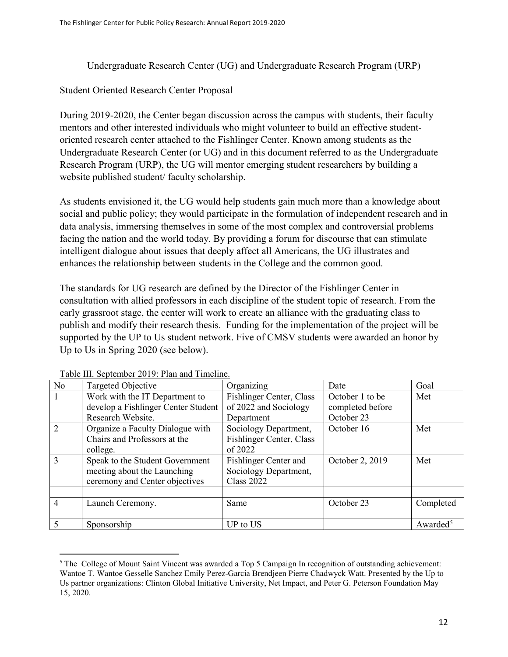Undergraduate Research Center (UG) and Undergraduate Research Program (URP)

#### <span id="page-12-0"></span>Student Oriented Research Center Proposal

During 2019-2020, the Center began discussion across the campus with students, their faculty mentors and other interested individuals who might volunteer to build an effective studentoriented research center attached to the Fishlinger Center. Known among students as the Undergraduate Research Center (or UG) and in this document referred to as the Undergraduate Research Program (URP), the UG will mentor emerging student researchers by building a website published student/ faculty scholarship.

As students envisioned it, the UG would help students gain much more than a knowledge about social and public policy; they would participate in the formulation of independent research and in data analysis, immersing themselves in some of the most complex and controversial problems facing the nation and the world today. By providing a forum for discourse that can stimulate intelligent dialogue about issues that deeply affect all Americans, the UG illustrates and enhances the relationship between students in the College and the common good.

The standards for UG research are defined by the Director of the Fishlinger Center in consultation with allied professors in each discipline of the student topic of research. From the early grassroot stage, the center will work to create an alliance with the graduating class to publish and modify their research thesis. Funding for the implementation of the project will be supported by the UP to Us student network. Five of CMSV students were awarded an honor by Up to Us in Spring 2020 (see below).

| N <sub>o</sub>              | Targeted Objective                  | Organizing               | Date             | Goal                 |
|-----------------------------|-------------------------------------|--------------------------|------------------|----------------------|
|                             | Work with the IT Department to      | Fishlinger Center, Class | October 1 to be  | Met                  |
|                             | develop a Fishlinger Center Student | of 2022 and Sociology    | completed before |                      |
|                             | Research Website.                   | Department               | October 23       |                      |
| $\mathcal{D}_{\mathcal{L}}$ | Organize a Faculty Dialogue with    | Sociology Department,    | October 16       | Met                  |
|                             | Chairs and Professors at the        | Fishlinger Center, Class |                  |                      |
|                             | college.                            | of $2022$                |                  |                      |
| $\mathbf{3}$                | Speak to the Student Government     | Fishlinger Center and    | October 2, 2019  | Met                  |
|                             | meeting about the Launching         | Sociology Department,    |                  |                      |
|                             | ceremony and Center objectives      | <b>Class 2022</b>        |                  |                      |
|                             |                                     |                          |                  |                      |
| $\overline{4}$              | Launch Ceremony.                    | Same                     | October 23       | Completed            |
|                             |                                     |                          |                  |                      |
|                             | Sponsorship                         | UP to US                 |                  | Awarded <sup>5</sup> |

Table III. September 2019: Plan and Timeline.

<span id="page-12-1"></span> <sup>5</sup> The College of Mount Saint Vincent was awarded a Top 5 Campaign In recognition of outstanding achievement: Wantoe T. Wantoe Gesselle Sanchez Emily Perez-Garcia Brendjeen Pierre Chadwyck Watt. Presented by the Up to Us partner organizations: Clinton Global Initiative University, Net Impact, and Peter G. Peterson Foundation May 15, 2020.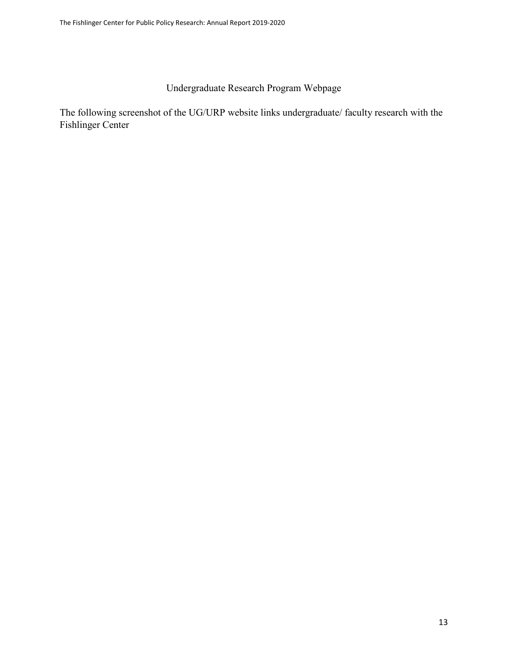# Undergraduate Research Program Webpage

<span id="page-13-0"></span>The following screenshot of the UG/URP website links undergraduate/ faculty research with the Fishlinger Center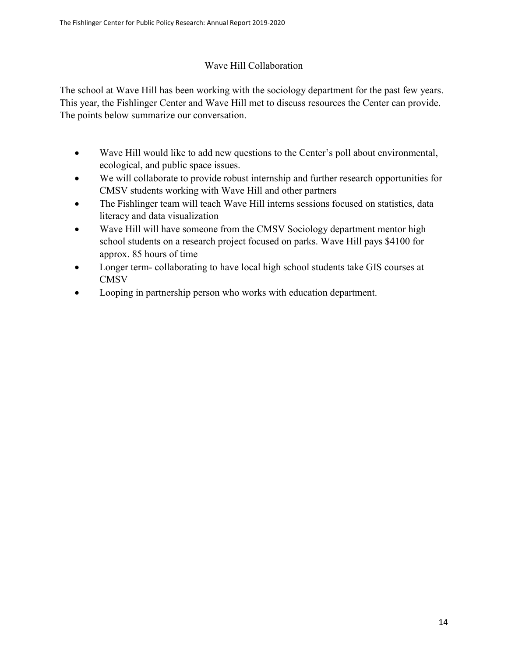# Wave Hill Collaboration

<span id="page-14-0"></span>The school at Wave Hill has been working with the sociology department for the past few years. This year, the Fishlinger Center and Wave Hill met to discuss resources the Center can provide. The points below summarize our conversation.

- Wave Hill would like to add new questions to the Center's poll about environmental, ecological, and public space issues.
- We will collaborate to provide robust internship and further research opportunities for CMSV students working with Wave Hill and other partners
- The Fishlinger team will teach Wave Hill interns sessions focused on statistics, data literacy and data visualization
- Wave Hill will have someone from the CMSV Sociology department mentor high school students on a research project focused on parks. Wave Hill pays \$4100 for approx. 85 hours of time
- Longer term- collaborating to have local high school students take GIS courses at **CMSV**
- Looping in partnership person who works with education department.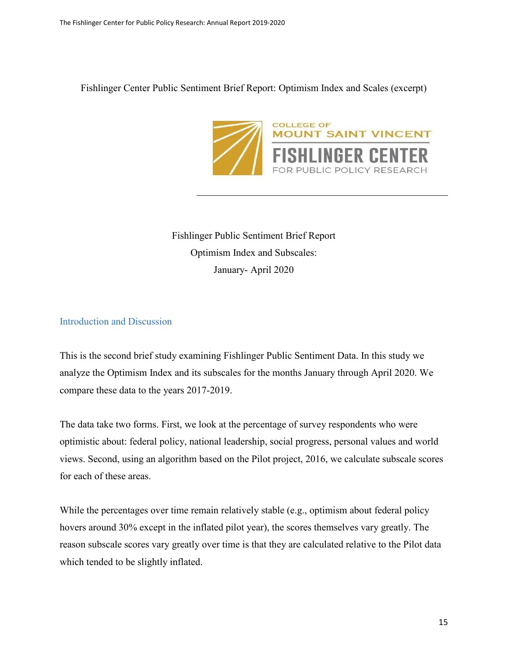<span id="page-15-0"></span>Fishlinger Center Public Sentiment Brief Report: Optimism Index and Scales (excerpt)



Fishlinger Public Sentiment Brief Report Optimism Index and Subscales: January- April 2020

### Introduction and Discussion

This is the second brief study examining Fishlinger Public Sentiment Data. In this study we analyze the Optimism Index and its subscales for the months January through April 2020. We compare these data to the years 2017-2019.

The data take two forms. First, we look at the percentage of survey respondents who were optimistic about: federal policy, national leadership, social progress, personal values and world views. Second, using an algorithm based on the Pilot project, 2016, we calculate subscale scores for each of these areas.

While the percentages over time remain relatively stable (e.g., optimism about federal policy hovers around 30% except in the inflated pilot year), the scores themselves vary greatly. The reason subscale scores vary greatly over time is that they are calculated relative to the Pilot data which tended to be slightly inflated.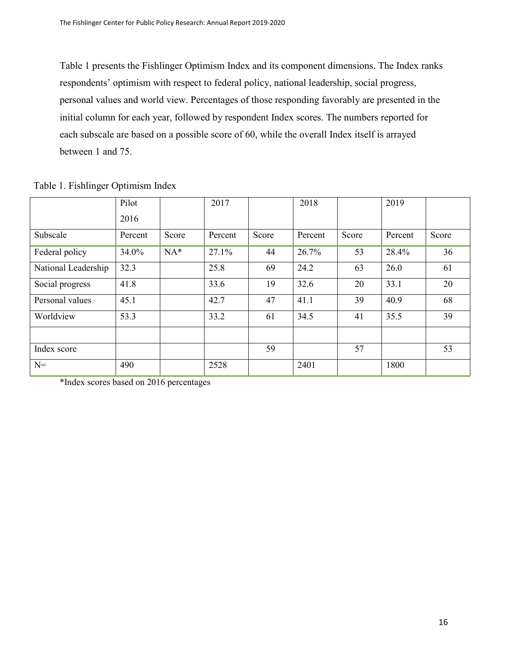Table 1 presents the Fishlinger Optimism Index and its component dimensions. The Index ranks respondents' optimism with respect to federal policy, national leadership, social progress, personal values and world view. Percentages of those responding favorably are presented in the initial column for each year, followed by respondent Index scores. The numbers reported for each subscale are based on a possible score of 60, while the overall Index itself is arrayed between 1 and 75.

|                     | Pilot   |       | 2017    |       | 2018    |       | 2019    |       |
|---------------------|---------|-------|---------|-------|---------|-------|---------|-------|
|                     | 2016    |       |         |       |         |       |         |       |
| Subscale            | Percent | Score | Percent | Score | Percent | Score | Percent | Score |
| Federal policy      | 34.0%   | $NA*$ | 27.1%   | 44    | 26.7%   | 53    | 28.4%   | 36    |
| National Leadership | 32.3    |       | 25.8    | 69    | 24.2    | 63    | 26.0    | 61    |
| Social progress     | 41.8    |       | 33.6    | 19    | 32.6    | 20    | 33.1    | 20    |
| Personal values     | 45.1    |       | 42.7    | 47    | 41.1    | 39    | 40.9    | 68    |
| Worldview           | 53.3    |       | 33.2    | 61    | 34.5    | 41    | 35.5    | 39    |
|                     |         |       |         |       |         |       |         |       |
| Index score         |         |       |         | 59    |         | 57    |         | 53    |
| $N =$               | 490     |       | 2528    |       | 2401    |       | 1800    |       |

Table 1. Fishlinger Optimism Index

\*Index scores based on 2016 percentages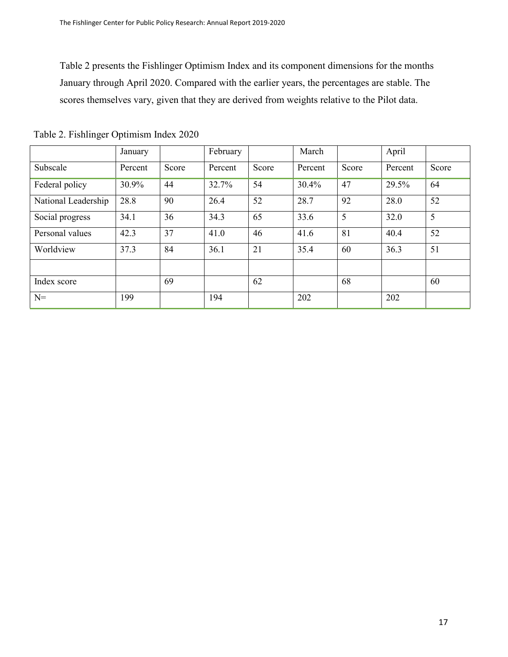Table 2 presents the Fishlinger Optimism Index and its component dimensions for the months January through April 2020. Compared with the earlier years, the percentages are stable. The scores themselves vary, given that they are derived from weights relative to the Pilot data.

|                     | January |       | February |       | March   |       | April   |       |
|---------------------|---------|-------|----------|-------|---------|-------|---------|-------|
| Subscale            | Percent | Score | Percent  | Score | Percent | Score | Percent | Score |
| Federal policy      | 30.9%   | 44    | 32.7%    | 54    | 30.4%   | 47    | 29.5%   | 64    |
| National Leadership | 28.8    | 90    | 26.4     | 52    | 28.7    | 92    | 28.0    | 52    |
| Social progress     | 34.1    | 36    | 34.3     | 65    | 33.6    | 5     | 32.0    | 5     |
| Personal values     | 42.3    | 37    | 41.0     | 46    | 41.6    | 81    | 40.4    | 52    |
| Worldview           | 37.3    | 84    | 36.1     | 21    | 35.4    | 60    | 36.3    | 51    |
|                     |         |       |          |       |         |       |         |       |
| Index score         |         | 69    |          | 62    |         | 68    |         | 60    |
| $N =$               | 199     |       | 194      |       | 202     |       | 202     |       |

Table 2. Fishlinger Optimism Index 2020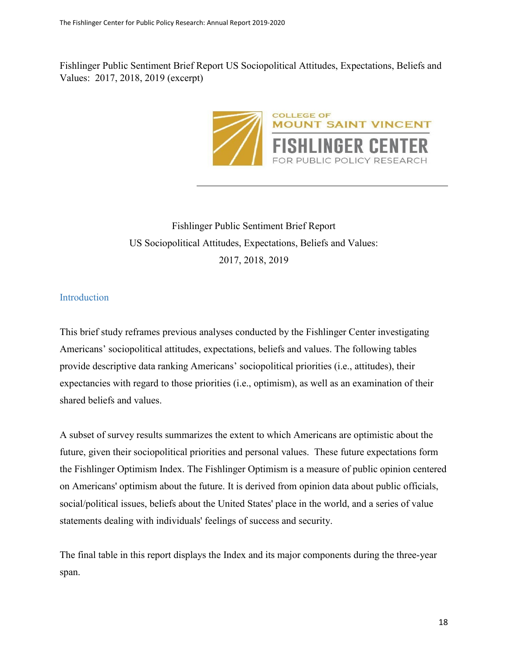<span id="page-18-0"></span>Fishlinger Public Sentiment Brief Report US Sociopolitical Attitudes, Expectations, Beliefs and Values: 2017, 2018, 2019 (excerpt)



Fishlinger Public Sentiment Brief Report US Sociopolitical Attitudes, Expectations, Beliefs and Values: 2017, 2018, 2019

## Introduction

This brief study reframes previous analyses conducted by the Fishlinger Center investigating Americans' sociopolitical attitudes, expectations, beliefs and values. The following tables provide descriptive data ranking Americans' sociopolitical priorities (i.e., attitudes), their expectancies with regard to those priorities (i.e., optimism), as well as an examination of their shared beliefs and values.

A subset of survey results summarizes the extent to which Americans are optimistic about the future, given their sociopolitical priorities and personal values. These future expectations form the Fishlinger Optimism Index. The Fishlinger Optimism is a measure of public opinion centered on Americans' optimism about the future. It is derived from opinion data about public officials, social/political issues, beliefs about the United States' place in the world, and a series of value statements dealing with individuals' feelings of success and security.

The final table in this report displays the Index and its major components during the three-year span.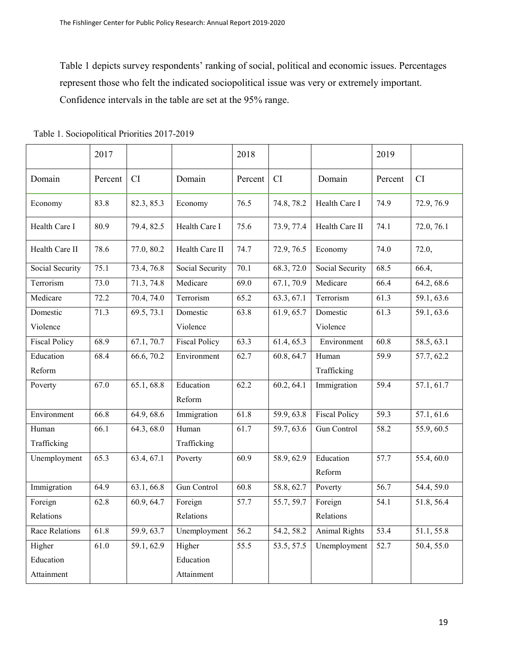Table 1 depicts survey respondents' ranking of social, political and economic issues. Percentages represent those who felt the indicated sociopolitical issue was very or extremely important. Confidence intervals in the table are set at the 95% range.

|                      | 2017    |            |                      | 2018    |            |                      | 2019    |            |
|----------------------|---------|------------|----------------------|---------|------------|----------------------|---------|------------|
| Domain               | Percent | CI         | Domain               | Percent | <b>CI</b>  | Domain               | Percent | CI         |
| Economy              | 83.8    | 82.3, 85.3 | Economy              | 76.5    | 74.8, 78.2 | Health Care I        | 74.9    | 72.9, 76.9 |
| Health Care I        | 80.9    | 79.4, 82.5 | Health Care I        | 75.6    | 73.9, 77.4 | Health Care II       | 74.1    | 72.0, 76.1 |
| Health Care II       | 78.6    | 77.0, 80.2 | Health Care II       | 74.7    | 72.9, 76.5 | Economy              | 74.0    | 72.0,      |
| Social Security      | 75.1    | 73.4, 76.8 | Social Security      | 70.1    | 68.3, 72.0 | Social Security      | 68.5    | 66.4,      |
| Terrorism            | 73.0    | 71.3, 74.8 | Medicare             | 69.0    | 67.1, 70.9 | Medicare             | 66.4    | 64.2, 68.6 |
| Medicare             | 72.2    | 70.4, 74.0 | Terrorism            | 65.2    | 63.3, 67.1 | Terrorism            | 61.3    | 59.1, 63.6 |
| Domestic             | 71.3    | 69.5, 73.1 | Domestic             | 63.8    | 61.9, 65.7 | Domestic             | 61.3    | 59.1, 63.6 |
| Violence             |         |            | Violence             |         |            | Violence             |         |            |
| <b>Fiscal Policy</b> | 68.9    | 67.1, 70.7 | <b>Fiscal Policy</b> | 63.3    | 61.4, 65.3 | Environment          | 60.8    | 58.5, 63.1 |
| Education            | 68.4    | 66.6, 70.2 | Environment          | 62.7    | 60.8, 64.7 | Human                | 59.9    | 57.7, 62.2 |
| Reform               |         |            |                      |         |            | Trafficking          |         |            |
| Poverty              | 67.0    | 65.1, 68.8 | Education            | 62.2    | 60.2, 64.1 | Immigration          | 59.4    | 57.1, 61.7 |
|                      |         |            | Reform               |         |            |                      |         |            |
| Environment          | 66.8    | 64.9, 68.6 | Immigration          | 61.8    | 59.9, 63.8 | <b>Fiscal Policy</b> | 59.3    | 57.1, 61.6 |
| Human                | 66.1    | 64.3, 68.0 | Human                | 61.7    | 59.7, 63.6 | <b>Gun Control</b>   | 58.2    | 55.9, 60.5 |
| Trafficking          |         |            | Trafficking          |         |            |                      |         |            |
| Unemployment         | 65.3    | 63.4, 67.1 | Poverty              | 60.9    | 58.9, 62.9 | Education            | 57.7    | 55.4, 60.0 |
|                      |         |            |                      |         |            | Reform               |         |            |
| Immigration          | 64.9    | 63.1, 66.8 | Gun Control          | 60.8    | 58.8, 62.7 | Poverty              | 56.7    | 54.4, 59.0 |
| Foreign              | 62.8    | 60.9, 64.7 | Foreign              | 57.7    | 55.7, 59.7 | Foreign              | 54.1    | 51.8, 56.4 |
| Relations            |         |            | Relations            |         |            | Relations            |         |            |
| Race Relations       | 61.8    | 59.9, 63.7 | Unemployment         | 56.2    | 54.2, 58.2 | <b>Animal Rights</b> | 53.4    | 51.1, 55.8 |
| Higher               | 61.0    | 59.1, 62.9 | Higher               | 55.5    | 53.5, 57.5 | Unemployment         | 52.7    | 50.4, 55.0 |
| Education            |         |            | Education            |         |            |                      |         |            |
| Attainment           |         |            | Attainment           |         |            |                      |         |            |

Table 1. Sociopolitical Priorities 2017-2019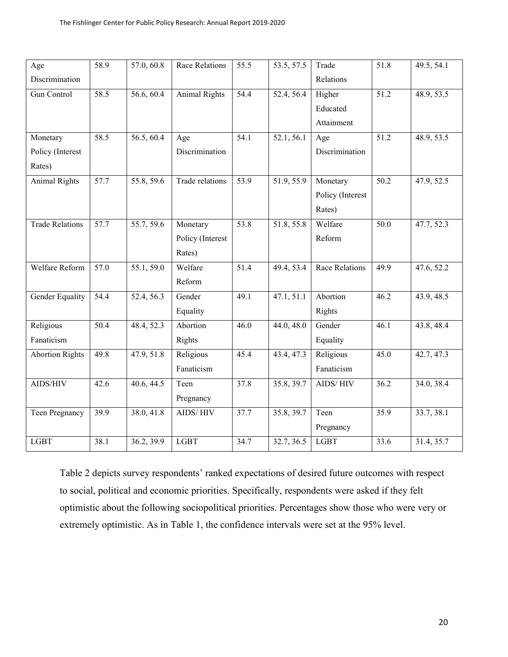| Age                    | 58.9 | 57.0, 60.8 | <b>Race Relations</b> | 55.5              | 53.5, 57.5 | Trade                 | 51.8              | 49.5, 54.1 |
|------------------------|------|------------|-----------------------|-------------------|------------|-----------------------|-------------------|------------|
| Discrimination         |      |            |                       |                   |            | Relations             |                   |            |
| <b>Gun Control</b>     | 58.5 | 56.6, 60.4 | <b>Animal Rights</b>  | 54.4              | 52.4, 56.4 | Higher                | 51.2              | 48.9, 53.5 |
|                        |      |            |                       |                   |            | Educated              |                   |            |
|                        |      |            |                       |                   |            | Attainment            |                   |            |
| Monetary               | 58.5 | 56.5, 60.4 | Age                   | 54.1              | 52.1, 56.1 | Age                   | $\overline{51.2}$ | 48.9, 53.5 |
| Policy (Interest       |      |            | Discrimination        |                   |            | Discrimination        |                   |            |
| Rates)                 |      |            |                       |                   |            |                       |                   |            |
| <b>Animal Rights</b>   | 57.7 | 55.8, 59.6 | Trade relations       | $\overline{53.9}$ | 51.9, 55.9 | Monetary              | 50.2              | 47.9, 52.5 |
|                        |      |            |                       |                   |            | Policy (Interest      |                   |            |
|                        |      |            |                       |                   |            | Rates)                |                   |            |
| <b>Trade Relations</b> | 57.7 | 55.7, 59.6 | Monetary              | 53.8              | 51.8, 55.8 | Welfare               | 50.0              | 47.7, 52.3 |
|                        |      |            | Policy (Interest      |                   |            | Reform                |                   |            |
|                        |      |            | Rates)                |                   |            |                       |                   |            |
| Welfare Reform         | 57.0 | 55.1, 59.0 | Welfare               | 51.4              | 49.4, 53.4 | <b>Race Relations</b> | 49.9              | 47.6, 52.2 |
|                        |      |            | Reform                |                   |            |                       |                   |            |
| Gender Equality        | 54.4 | 52.4, 56.3 | Gender                | 49.1              | 47.1, 51.1 | Abortion              | 46.2              | 43.9, 48.5 |
|                        |      |            | Equality              |                   |            | Rights                |                   |            |
| Religious              | 50.4 | 48.4, 52.3 | Abortion              | 46.0              | 44.0, 48.0 | Gender                | 46.1              | 43.8, 48.4 |
| Fanaticism             |      |            | Rights                |                   |            | Equality              |                   |            |
| <b>Abortion Rights</b> | 49.8 | 47.9, 51.8 | Religious             | 45.4              | 43.4, 47.3 | Religious             | 45.0              | 42.7, 47.3 |
|                        |      |            | Fanaticism            |                   |            | Fanaticism            |                   |            |
| <b>AIDS/HIV</b>        | 42.6 | 40.6, 44.5 | Teen                  | 37.8              | 35.8, 39.7 | AIDS/HIV              | 36.2              | 34.0, 38.4 |
|                        |      |            | Pregnancy             |                   |            |                       |                   |            |
| Teen Pregnancy         | 39.9 | 38.0, 41.8 | AIDS/HIV              | 37.7              | 35.8, 39.7 | Teen                  | 35.9              | 33.7, 38.1 |
|                        |      |            |                       |                   |            | Pregnancy             |                   |            |
| <b>LGBT</b>            | 38.1 | 36.2, 39.9 | <b>LGBT</b>           | 34.7              | 32.7, 36.5 | LGBT                  | 33.6              | 31.4, 35.7 |

Table 2 depicts survey respondents' ranked expectations of desired future outcomes with respect to social, political and economic priorities. Specifically, respondents were asked if they felt optimistic about the following sociopolitical priorities. Percentages show those who were very or extremely optimistic. As in Table 1, the confidence intervals were set at the 95% level.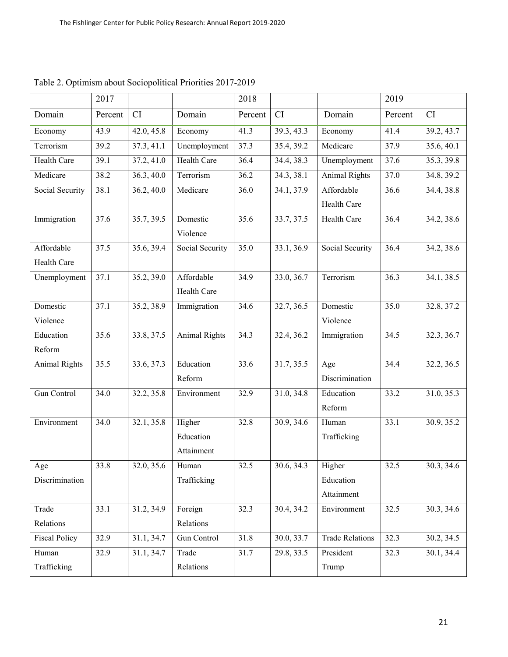|                      | 2017    |            |                      | 2018              |            |                        | 2019    |            |
|----------------------|---------|------------|----------------------|-------------------|------------|------------------------|---------|------------|
| Domain               | Percent | CI         | Domain               | Percent           | <b>CI</b>  | Domain                 | Percent | CI         |
| Economy              | 43.9    | 42.0, 45.8 | Economy              | 41.3              | 39.3, 43.3 | Economy                | 41.4    | 39.2, 43.7 |
| Terrorism            | 39.2    | 37.3, 41.1 | Unemployment         | 37.3              | 35.4, 39.2 | Medicare               | 37.9    | 35.6, 40.1 |
| Health Care          | 39.1    | 37.2, 41.0 | <b>Health Care</b>   | 36.4              | 34.4, 38.3 | Unemployment           | 37.6    | 35.3, 39.8 |
| Medicare             | 38.2    | 36.3, 40.0 | Terrorism            | 36.2              | 34.3, 38.1 | <b>Animal Rights</b>   | 37.0    | 34.8, 39.2 |
| Social Security      | 38.1    | 36.2, 40.0 | Medicare             | 36.0              | 34.1, 37.9 | Affordable             | 36.6    | 34.4, 38.8 |
|                      |         |            |                      |                   |            | Health Care            |         |            |
| Immigration          | 37.6    | 35.7, 39.5 | Domestic             | 35.6              | 33.7, 37.5 | Health Care            | 36.4    | 34.2, 38.6 |
|                      |         |            | Violence             |                   |            |                        |         |            |
| Affordable           | 37.5    | 35.6, 39.4 | Social Security      | $\overline{35.0}$ | 33.1, 36.9 | Social Security        | 36.4    | 34.2, 38.6 |
| Health Care          |         |            |                      |                   |            |                        |         |            |
| Unemployment         | 37.1    | 35.2, 39.0 | Affordable           | 34.9              | 33.0, 36.7 | Terrorism              | 36.3    | 34.1, 38.5 |
|                      |         |            | Health Care          |                   |            |                        |         |            |
| Domestic             | 37.1    | 35.2, 38.9 | Immigration          | 34.6              | 32.7, 36.5 | Domestic               | 35.0    | 32.8, 37.2 |
| Violence             |         |            |                      |                   |            | Violence               |         |            |
| Education            | 35.6    | 33.8, 37.5 | <b>Animal Rights</b> | 34.3              | 32.4, 36.2 | Immigration            | 34.5    | 32.3, 36.7 |
| Reform               |         |            |                      |                   |            |                        |         |            |
| <b>Animal Rights</b> | 35.5    | 33.6, 37.3 | Education            | 33.6              | 31.7, 35.5 | Age                    | 34.4    | 32.2, 36.5 |
|                      |         |            | Reform               |                   |            | Discrimination         |         |            |
| <b>Gun Control</b>   | 34.0    | 32.2, 35.8 | Environment          | 32.9              | 31.0, 34.8 | Education              | 33.2    | 31.0, 35.3 |
|                      |         |            |                      |                   |            | Reform                 |         |            |
| Environment          | 34.0    | 32.1, 35.8 | Higher               | 32.8              | 30.9, 34.6 | Human                  | 33.1    | 30.9, 35.2 |
|                      |         |            | Education            |                   |            | Trafficking            |         |            |
|                      |         |            | Attainment           |                   |            |                        |         |            |
| Age                  | 33.8    | 32.0, 35.6 | Human                | 32.5              | 30.6, 34.3 | Higher                 | 32.5    | 30.3, 34.6 |
| Discrimination       |         |            | Trafficking          |                   |            | Education              |         |            |
|                      |         |            |                      |                   |            | Attainment             |         |            |
| Trade                | 33.1    | 31.2, 34.9 | Foreign              | 32.3              | 30.4, 34.2 | Environment            | 32.5    | 30.3, 34.6 |
| Relations            |         |            | Relations            |                   |            |                        |         |            |
| <b>Fiscal Policy</b> | 32.9    | 31.1, 34.7 | Gun Control          | 31.8              | 30.0, 33.7 | <b>Trade Relations</b> | 32.3    | 30.2, 34.5 |
| Human                | 32.9    | 31.1, 34.7 | Trade                | 31.7              | 29.8, 33.5 | President              | 32.3    | 30.1, 34.4 |
| Trafficking          |         |            | Relations            |                   |            | Trump                  |         |            |

Table 2. Optimism about Sociopolitical Priorities 2017-2019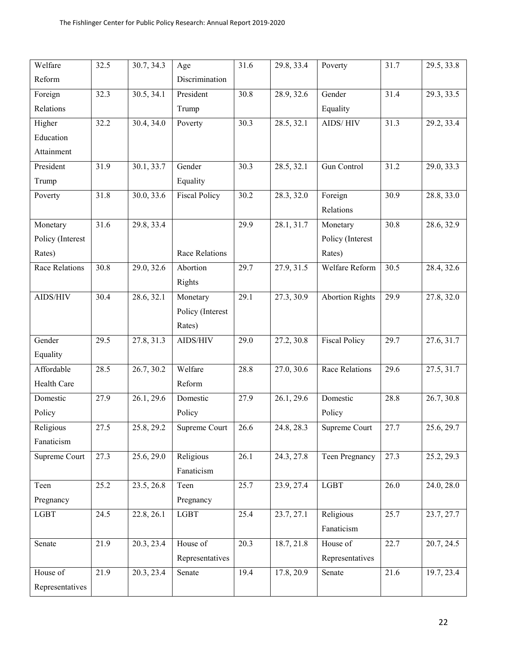| Welfare               | 32.5              | 30.7, 34.3              | Age                  | 31.6 | 29.8, 33.4 | Poverty                | 31.7 | 29.5, 33.8 |
|-----------------------|-------------------|-------------------------|----------------------|------|------------|------------------------|------|------------|
| Reform                |                   |                         | Discrimination       |      |            |                        |      |            |
| Foreign               | 32.3              | 30.5, 34.1              | President            | 30.8 | 28.9, 32.6 | Gender                 | 31.4 | 29.3, 33.5 |
| Relations             |                   |                         | Trump                |      |            | Equality               |      |            |
| Higher                | 32.2              | 30.4, 34.0              | Poverty              | 30.3 | 28.5, 32.1 | AIDS/HIV               | 31.3 | 29.2, 33.4 |
| Education             |                   |                         |                      |      |            |                        |      |            |
| Attainment            |                   |                         |                      |      |            |                        |      |            |
| President             | 31.9              | 30.1, 33.7              | Gender               | 30.3 | 28.5, 32.1 | <b>Gun Control</b>     | 31.2 | 29.0, 33.3 |
| Trump                 |                   |                         | Equality             |      |            |                        |      |            |
| Poverty               | 31.8              | 30.0, 33.6              | <b>Fiscal Policy</b> | 30.2 | 28.3, 32.0 | Foreign                | 30.9 | 28.8, 33.0 |
|                       |                   |                         |                      |      |            | Relations              |      |            |
| Monetary              | 31.6              | 29.8, 33.4              |                      | 29.9 | 28.1, 31.7 | Monetary               | 30.8 | 28.6, 32.9 |
| Policy (Interest      |                   |                         |                      |      |            | Policy (Interest       |      |            |
| Rates)                |                   |                         | Race Relations       |      |            | Rates)                 |      |            |
| <b>Race Relations</b> | 30.8              | 29.0, 32.6              | Abortion             | 29.7 | 27.9, 31.5 | Welfare Reform         | 30.5 | 28.4, 32.6 |
|                       |                   |                         | Rights               |      |            |                        |      |            |
| AIDS/HIV              | 30.4              | 28.6, 32.1              | Monetary             | 29.1 | 27.3, 30.9 | <b>Abortion Rights</b> | 29.9 | 27.8, 32.0 |
|                       |                   |                         | Policy (Interest     |      |            |                        |      |            |
|                       |                   |                         | Rates)               |      |            |                        |      |            |
| Gender                | 29.5              | 27.8, 31.3              | AIDS/HIV             | 29.0 | 27.2, 30.8 | <b>Fiscal Policy</b>   | 29.7 | 27.6, 31.7 |
| Equality              |                   |                         |                      |      |            |                        |      |            |
| Affordable            | 28.5              | 26.7, 30.2              | Welfare              | 28.8 | 27.0, 30.6 | <b>Race Relations</b>  | 29.6 | 27.5, 31.7 |
| Health Care           |                   |                         | Reform               |      |            |                        |      |            |
| Domestic              | 27.9              | $\overline{26.1, 29.6}$ | Domestic             | 27.9 | 26.1, 29.6 | Domestic               | 28.8 | 26.7, 30.8 |
| Policy                |                   |                         | Policy               |      |            | Policy                 |      |            |
| Religious             | 27.5              | 25.8, 29.2              | Supreme Court        | 26.6 | 24.8, 28.3 | Supreme Court          | 27.7 | 25.6, 29.7 |
| Fanaticism            |                   |                         |                      |      |            |                        |      |            |
| Supreme Court         | 27.3              | 25.6, 29.0              | Religious            | 26.1 | 24.3, 27.8 | <b>Teen Pregnancy</b>  | 27.3 | 25.2, 29.3 |
|                       |                   |                         | Fanaticism           |      |            |                        |      |            |
| Teen                  | $\overline{25.2}$ | 23.5, 26.8              | Teen                 | 25.7 | 23.9, 27.4 | LGBT                   | 26.0 | 24.0, 28.0 |
| Pregnancy             |                   |                         | Pregnancy            |      |            |                        |      |            |
| LGBT                  | 24.5              | 22.8, 26.1              | <b>LGBT</b>          | 25.4 | 23.7, 27.1 | Religious              | 25.7 | 23.7, 27.7 |
|                       |                   |                         |                      |      |            | Fanaticism             |      |            |
| Senate                | 21.9              | 20.3, 23.4              | House of             | 20.3 | 18.7, 21.8 | House of               | 22.7 | 20.7, 24.5 |
|                       |                   |                         | Representatives      |      |            | Representatives        |      |            |
| House of              | 21.9              | 20.3, 23.4              | Senate               | 19.4 | 17.8, 20.9 | Senate                 | 21.6 | 19.7, 23.4 |
| Representatives       |                   |                         |                      |      |            |                        |      |            |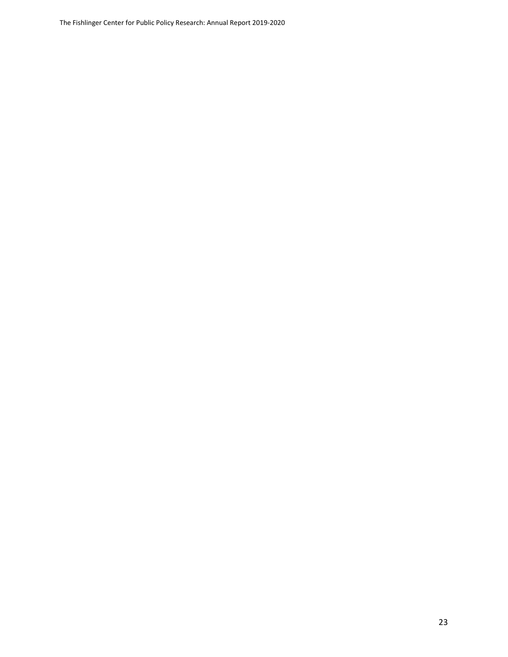The Fishlinger Center for Public Policy Research: Annual Report 2019-2020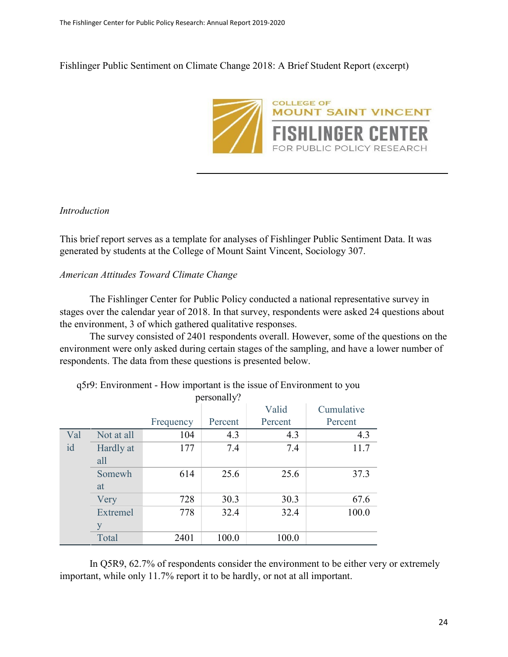<span id="page-24-0"></span>Fishlinger Public Sentiment on Climate Change 2018: A Brief Student Report (excerpt)



### *Introduction*

This brief report serves as a template for analyses of Fishlinger Public Sentiment Data. It was generated by students at the College of Mount Saint Vincent, Sociology 307.

#### *American Attitudes Toward Climate Change*

The Fishlinger Center for Public Policy conducted a national representative survey in stages over the calendar year of 2018. In that survey, respondents were asked 24 questions about the environment, 3 of which gathered qualitative responses.

The survey consisted of 2401 respondents overall. However, some of the questions on the environment were only asked during certain stages of the sampling, and have a lower number of respondents. The data from these questions is presented below.

|     | personally? |           |         |         |            |  |  |  |
|-----|-------------|-----------|---------|---------|------------|--|--|--|
|     |             |           |         | Valid   | Cumulative |  |  |  |
|     |             | Frequency | Percent | Percent | Percent    |  |  |  |
| Val | Not at all  | 104       | 4.3     | 4.3     | 4.3        |  |  |  |
| id  | Hardly at   | 177       | 7.4     | 7.4     | 11.7       |  |  |  |
|     | all         |           |         |         |            |  |  |  |
|     | Somewh      | 614       | 25.6    | 25.6    | 37.3       |  |  |  |
|     | at          |           |         |         |            |  |  |  |
|     | Very        | 728       | 30.3    | 30.3    | 67.6       |  |  |  |
|     | Extremel    | 778       | 32.4    | 32.4    | 100.0      |  |  |  |
|     |             |           |         |         |            |  |  |  |
|     | Total       | 2401      | 100.0   | 100.0   |            |  |  |  |

q5r9: Environment - How important is the issue of Environment to you

In Q5R9, 62.7% of respondents consider the environment to be either very or extremely important, while only 11.7% report it to be hardly, or not at all important.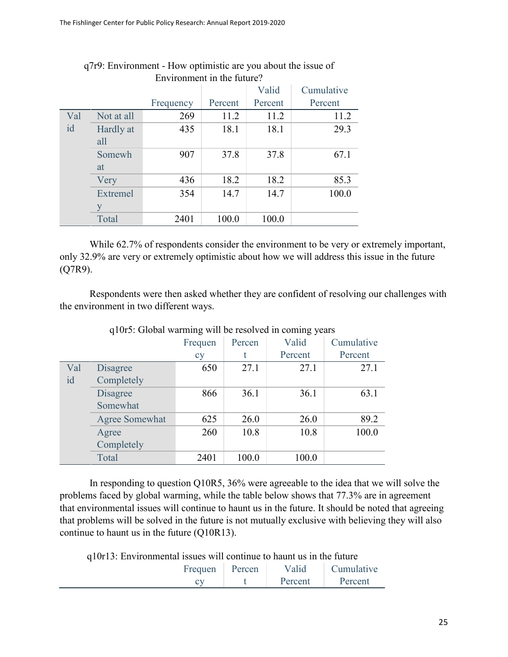|     |            |           |         | Valid   | Cumulative |
|-----|------------|-----------|---------|---------|------------|
|     |            | Frequency | Percent | Percent | Percent    |
| Val | Not at all | 269       | 11.2    | 11.2    | 11.2       |
| id  | Hardly at  | 435       | 18.1    | 18.1    | 29.3       |
|     | all        |           |         |         |            |
|     | Somewh     | 907       | 37.8    | 37.8    | 67.1       |
|     | at         |           |         |         |            |
|     | Very       | 436       | 18.2    | 18.2    | 85.3       |
|     | Extremel   | 354       | 14.7    | 14.7    | 100.0      |
|     | y          |           |         |         |            |
|     | Total      | 2401      | 100.0   | 100.0   |            |

q7r9: Environment - How optimistic are you about the issue of Environment in the future?

While 62.7% of respondents consider the environment to be very or extremely important, only 32.9% are very or extremely optimistic about how we will address this issue in the future (Q7R9).

Respondents were then asked whether they are confident of resolving our challenges with the environment in two different ways.

|     |                       | Frequen | Percen | Valid   | Cumulative |
|-----|-----------------------|---------|--------|---------|------------|
|     |                       | cy      | t      | Percent | Percent    |
| Val | Disagree              | 650     | 27.1   | 27.1    | 27.1       |
| id  | Completely            |         |        |         |            |
|     | Disagree              | 866     | 36.1   | 36.1    | 63.1       |
|     | Somewhat              |         |        |         |            |
|     | <b>Agree Somewhat</b> | 625     | 26.0   | 26.0    | 89.2       |
|     | Agree                 | 260     | 10.8   | 10.8    | 100.0      |
|     | Completely            |         |        |         |            |
|     | Total                 | 2401    | 100.0  | 100.0   |            |

q10r5: Global warming will be resolved in coming years

In responding to question Q10R5, 36% were agreeable to the idea that we will solve the problems faced by global warming, while the table below shows that 77.3% are in agreement that environmental issues will continue to haunt us in the future. It should be noted that agreeing that problems will be solved in the future is not mutually exclusive with believing they will also continue to haunt us in the future (Q10R13).

| q10r13: Environmental issues will continue to haunt us in the future |  |  |
|----------------------------------------------------------------------|--|--|
|                                                                      |  |  |

|  | Frequen Percen Valid Cumulative |
|--|---------------------------------|
|  | Percent Percent                 |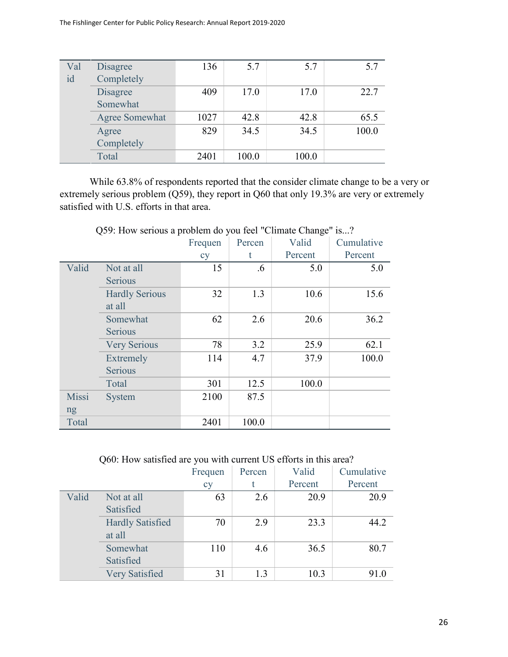| Val | Disagree              | 136  | 5.7   | 5.7   | 5.7   |
|-----|-----------------------|------|-------|-------|-------|
| id  | Completely            |      |       |       |       |
|     | Disagree              | 409  | 17.0  | 17.0  | 22.7  |
|     | Somewhat              |      |       |       |       |
|     | <b>Agree Somewhat</b> | 1027 | 42.8  | 42.8  | 65.5  |
|     | Agree                 | 829  | 34.5  | 34.5  | 100.0 |
|     | Completely            |      |       |       |       |
|     | Total                 | 2401 | 100.0 | 100.0 |       |

While 63.8% of respondents reported that the consider climate change to be a very or extremely serious problem (Q59), they report in Q60 that only 19.3% are very or extremely satisfied with U.S. efforts in that area.

| QUO, TIOW SCHOUS a problem do you feel Chimate Change TS |                       |         |        |         |            |
|----------------------------------------------------------|-----------------------|---------|--------|---------|------------|
|                                                          |                       | Frequen | Percen | Valid   | Cumulative |
|                                                          |                       | cy      | t      | Percent | Percent    |
| Valid                                                    | Not at all            | 15      | $.6\,$ | 5.0     | 5.0        |
|                                                          | Serious               |         |        |         |            |
|                                                          | <b>Hardly Serious</b> | 32      | 1.3    | 10.6    | 15.6       |
|                                                          | at all                |         |        |         |            |
|                                                          | Somewhat              | 62      | 2.6    | 20.6    | 36.2       |
|                                                          | Serious               |         |        |         |            |
|                                                          | <b>Very Serious</b>   | 78      | 3.2    | 25.9    | 62.1       |
|                                                          | Extremely             | 114     | 4.7    | 37.9    | 100.0      |
|                                                          | Serious               |         |        |         |            |
|                                                          | Total                 | 301     | 12.5   | 100.0   |            |
| Missi                                                    | System                | 2100    | 87.5   |         |            |
| ng                                                       |                       |         |        |         |            |
| Total                                                    |                       | 2401    | 100.0  |         |            |

Q59: How serious a problem do you feel "Climate Change" is...?

### Q60: How satisfied are you with current US efforts in this area?

|       |                         | Frequen | Percen | Valid   | Cumulative |
|-------|-------------------------|---------|--------|---------|------------|
|       |                         | cy      |        | Percent | Percent    |
| Valid | Not at all              | 63      | 2.6    | 20.9    | 20.9       |
|       | Satisfied               |         |        |         |            |
|       | <b>Hardly Satisfied</b> | 70      | 2.9    | 23.3    | 44.2       |
|       | at all                  |         |        |         |            |
|       | Somewhat                | 110     | 4.6    | 36.5    | 80.7       |
|       | Satisfied               |         |        |         |            |
|       | Very Satisfied          | 31      | 1.3    | 10.3    | 91.0       |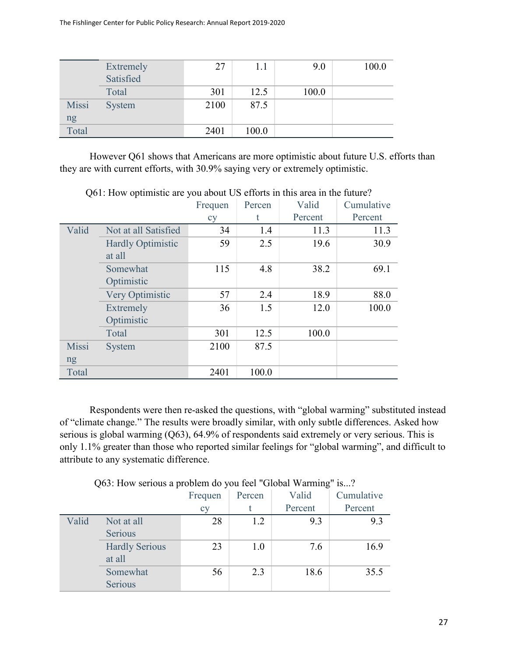|       | Extremely | 27   | 1.1   | 9.0   | 100.0 |
|-------|-----------|------|-------|-------|-------|
|       | Satisfied |      |       |       |       |
|       | Total     | 301  | 12.5  | 100.0 |       |
| Missi | System    | 2100 | 87.5  |       |       |
| ng    |           |      |       |       |       |
| Total |           | 2401 | 100.0 |       |       |

However Q61 shows that Americans are more optimistic about future U.S. efforts than they are with current efforts, with 30.9% saying very or extremely optimistic.

|       |                                    | Frequen | Percen | Valid   | Cumulative |
|-------|------------------------------------|---------|--------|---------|------------|
|       |                                    | cy      | t      | Percent | Percent    |
| Valid | Not at all Satisfied               | 34      | 1.4    | 11.3    | 11.3       |
|       | <b>Hardly Optimistic</b><br>at all | 59      | 2.5    | 19.6    | 30.9       |
|       | Somewhat<br>Optimistic             | 115     | 4.8    | 38.2    | 69.1       |
|       | Very Optimistic                    | 57      | 2.4    | 18.9    | 88.0       |
|       | Extremely<br>Optimistic            | 36      | 1.5    | 12.0    | 100.0      |
|       | Total                              | 301     | 12.5   | 100.0   |            |
| Missi | <b>System</b>                      | 2100    | 87.5   |         |            |
| ng    |                                    |         |        |         |            |
| Total |                                    | 2401    | 100.0  |         |            |

Q61: How optimistic are you about US efforts in this area in the future?

Respondents were then re-asked the questions, with "global warming" substituted instead of "climate change." The results were broadly similar, with only subtle differences. Asked how serious is global warming (Q63), 64.9% of respondents said extremely or very serious. This is only 1.1% greater than those who reported similar feelings for "global warming", and difficult to attribute to any systematic difference.

|       |                       | Frequen | Percen | Valid   | Cumulative |
|-------|-----------------------|---------|--------|---------|------------|
|       |                       | cy      |        | Percent | Percent    |
| Valid | Not at all            | 28      | 1.2    | 9.3     | 9.3        |
|       | <b>Serious</b>        |         |        |         |            |
|       | <b>Hardly Serious</b> | 23      | 1.0    | 7.6     | 16.9       |
|       | at all                |         |        |         |            |
|       | Somewhat              | 56      | 2.3    | 18.6    | 35.5       |
|       | Serious               |         |        |         |            |

Q63: How serious a problem do you feel "Global Warming" is...?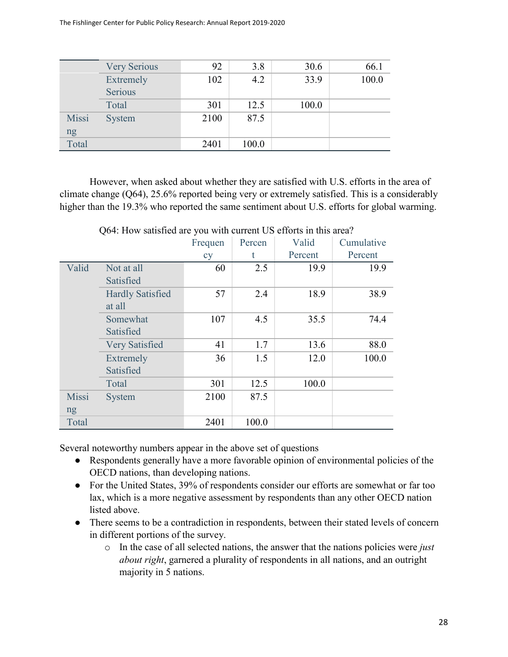|       | <b>Very Serious</b> | 92   | 3.8   | 30.6  | 66.1  |
|-------|---------------------|------|-------|-------|-------|
|       | Extremely           | 102  | 4.2   | 33.9  | 100.0 |
|       | <b>Serious</b>      |      |       |       |       |
|       | Total               | 301  | 12.5  | 100.0 |       |
| Missi | <b>System</b>       | 2100 | 87.5  |       |       |
| ng    |                     |      |       |       |       |
| Total |                     | 2401 | 100.0 |       |       |

However, when asked about whether they are satisfied with U.S. efforts in the area of climate change (Q64), 25.6% reported being very or extremely satisfied. This is a considerably higher than the 19.3% who reported the same sentiment about U.S. efforts for global warming.

|       | of the most supplied and you will callent objection in this area.<br>Valid<br>Cumulative<br>Frequen<br>Percen |      |       |         |         |  |  |
|-------|---------------------------------------------------------------------------------------------------------------|------|-------|---------|---------|--|--|
|       |                                                                                                               |      |       |         |         |  |  |
|       |                                                                                                               | cy   | t     | Percent | Percent |  |  |
| Valid | Not at all                                                                                                    | 60   | 2.5   | 19.9    | 19.9    |  |  |
|       | Satisfied                                                                                                     |      |       |         |         |  |  |
|       | <b>Hardly Satisfied</b>                                                                                       | 57   | 2.4   | 18.9    | 38.9    |  |  |
|       | at all                                                                                                        |      |       |         |         |  |  |
|       | Somewhat                                                                                                      | 107  | 4.5   | 35.5    | 74.4    |  |  |
|       | Satisfied                                                                                                     |      |       |         |         |  |  |
|       | Very Satisfied                                                                                                | 41   | 1.7   | 13.6    | 88.0    |  |  |
|       | Extremely                                                                                                     | 36   | 1.5   | 12.0    | 100.0   |  |  |
|       | Satisfied                                                                                                     |      |       |         |         |  |  |
|       | Total                                                                                                         | 301  | 12.5  | 100.0   |         |  |  |
| Missi | System                                                                                                        | 2100 | 87.5  |         |         |  |  |
| ng    |                                                                                                               |      |       |         |         |  |  |
| Total |                                                                                                               | 2401 | 100.0 |         |         |  |  |

Q64: How satisfied are you with current US efforts in this area?

Several noteworthy numbers appear in the above set of questions

- Respondents generally have a more favorable opinion of environmental policies of the OECD nations, than developing nations.
- For the United States, 39% of respondents consider our efforts are somewhat or far too lax, which is a more negative assessment by respondents than any other OECD nation listed above.
- There seems to be a contradiction in respondents, between their stated levels of concern in different portions of the survey.
	- o In the case of all selected nations, the answer that the nations policies were *just about right*, garnered a plurality of respondents in all nations, and an outright majority in 5 nations.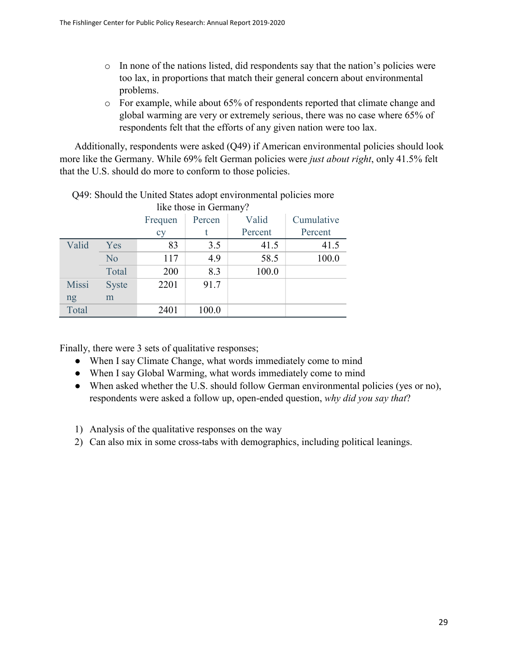- o In none of the nations listed, did respondents say that the nation's policies were too lax, in proportions that match their general concern about environmental problems.
- $\circ$  For example, while about 65% of respondents reported that climate change and global warming are very or extremely serious, there was no case where 65% of respondents felt that the efforts of any given nation were too lax.

Additionally, respondents were asked (Q49) if American environmental policies should look more like the Germany. While 69% felt German policies were *just about right*, only 41.5% felt that the U.S. should do more to conform to those policies.

| like those in Germany? |                |         |        |         |            |  |  |  |
|------------------------|----------------|---------|--------|---------|------------|--|--|--|
|                        |                | Frequen | Percen | Valid   | Cumulative |  |  |  |
|                        |                | cy      |        | Percent | Percent    |  |  |  |
| Valid                  | Yes            | 83      | 3.5    | 41.5    | 41.5       |  |  |  |
|                        | N <sub>o</sub> | 117     | 4.9    | 58.5    | 100.0      |  |  |  |
|                        | Total          | 200     | 8.3    | 100.0   |            |  |  |  |
| Missi                  | <b>Syste</b>   | 2201    | 91.7   |         |            |  |  |  |
| ng                     | m              |         |        |         |            |  |  |  |
| Total                  |                | 2401    | 100.0  |         |            |  |  |  |

#### Q49: Should the United States adopt environmental policies more

Finally, there were 3 sets of qualitative responses;

- When I say Climate Change, what words immediately come to mind
- When I say Global Warming, what words immediately come to mind
- When asked whether the U.S. should follow German environmental policies (yes or no), respondents were asked a follow up, open-ended question, *why did you say that*?
- 1) Analysis of the qualitative responses on the way
- 2) Can also mix in some cross-tabs with demographics, including political leanings.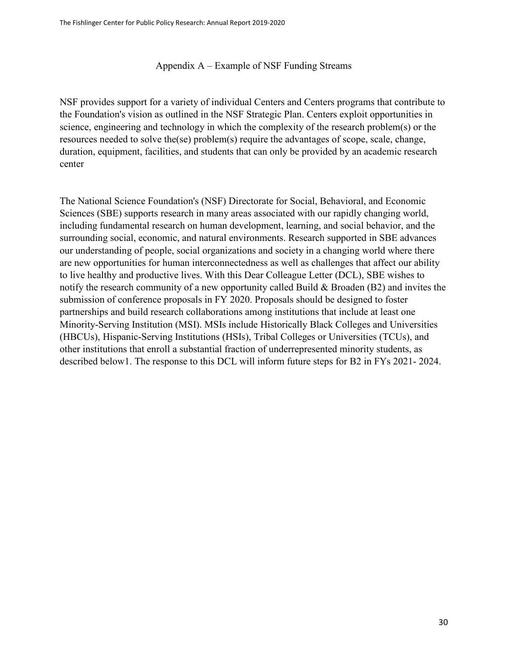#### Appendix A – Example of NSF Funding Streams

<span id="page-30-0"></span>NSF provides support for a variety of individual Centers and Centers programs that contribute to the Foundation's vision as outlined in the NSF Strategic Plan. Centers exploit opportunities in science, engineering and technology in which the complexity of the research problem(s) or the resources needed to solve the(se) problem(s) require the advantages of scope, scale, change, duration, equipment, facilities, and students that can only be provided by an academic research center

The National Science Foundation's (NSF) Directorate for Social, Behavioral, and Economic Sciences (SBE) supports research in many areas associated with our rapidly changing world, including fundamental research on human development, learning, and social behavior, and the surrounding social, economic, and natural environments. Research supported in SBE advances our understanding of people, social organizations and society in a changing world where there are new opportunities for human interconnectedness as well as challenges that affect our ability to live healthy and productive lives. With this Dear Colleague Letter (DCL), SBE wishes to notify the research community of a new opportunity called Build & Broaden (B2) and invites the submission of conference proposals in FY 2020. Proposals should be designed to foster partnerships and build research collaborations among institutions that include at least one Minority-Serving Institution (MSI). MSIs include Historically Black Colleges and Universities (HBCUs), Hispanic-Serving Institutions (HSIs), Tribal Colleges or Universities (TCUs), and other institutions that enroll a substantial fraction of underrepresented minority students, as described below1. The response to this DCL will inform future steps for B2 in FYs 2021- 2024.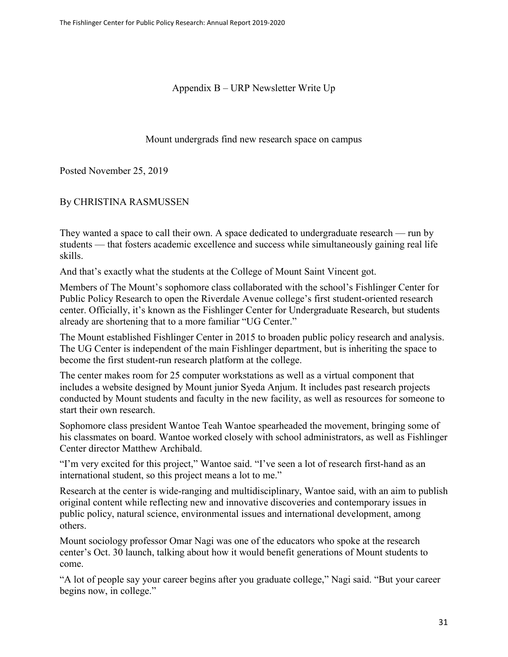Appendix B – URP Newsletter Write Up

Mount undergrads find new research space on campus

<span id="page-31-0"></span>Posted November 25, 2019

#### By CHRISTINA RASMUSSEN

They wanted a space to call their own. A space dedicated to undergraduate research — run by students — that fosters academic excellence and success while simultaneously gaining real life skills.

And that's exactly what the students at the College of Mount Saint Vincent got.

Members of The Mount's sophomore class collaborated with the school's Fishlinger Center for Public Policy Research to open the Riverdale Avenue college's first student-oriented research center. Officially, it's known as the Fishlinger Center for Undergraduate Research, but students already are shortening that to a more familiar "UG Center."

The Mount established Fishlinger Center in 2015 to broaden public policy research and analysis. The UG Center is independent of the main Fishlinger department, but is inheriting the space to become the first student-run research platform at the college.

The center makes room for 25 computer workstations as well as a virtual component that includes a website designed by Mount junior Syeda Anjum. It includes past research projects conducted by Mount students and faculty in the new facility, as well as resources for someone to start their own research.

Sophomore class president Wantoe Teah Wantoe spearheaded the movement, bringing some of his classmates on board. Wantoe worked closely with school administrators, as well as Fishlinger Center director Matthew Archibald.

"I'm very excited for this project," Wantoe said. "I've seen a lot of research first-hand as an international student, so this project means a lot to me."

Research at the center is wide-ranging and multidisciplinary, Wantoe said, with an aim to publish original content while reflecting new and innovative discoveries and contemporary issues in public policy, natural science, environmental issues and international development, among others.

Mount sociology professor Omar Nagi was one of the educators who spoke at the research center's Oct. 30 launch, talking about how it would benefit generations of Mount students to come.

"A lot of people say your career begins after you graduate college," Nagi said. "But your career begins now, in college."